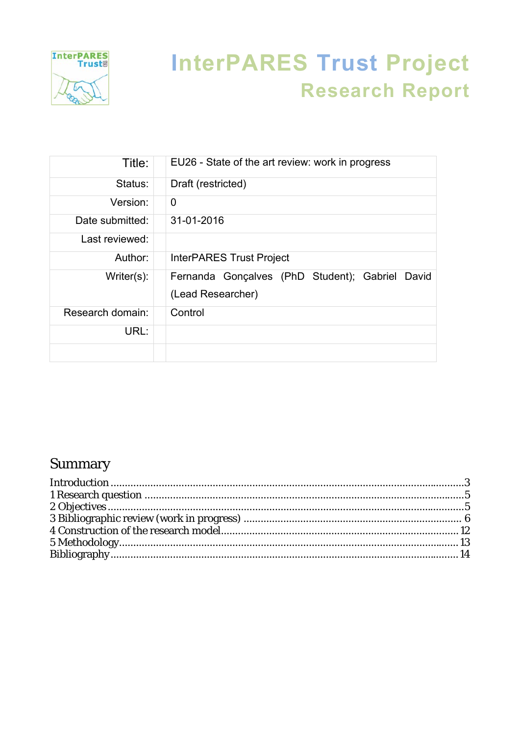

# **InterPARES Trust Project Research Report**

| Title:           | EU26 - State of the art review: work in progress                     |
|------------------|----------------------------------------------------------------------|
| Status:          | Draft (restricted)                                                   |
| Version:         | 0                                                                    |
| Date submitted:  | 31-01-2016                                                           |
| Last reviewed:   |                                                                      |
| Author:          | InterPARES Trust Project                                             |
| Writer(s):       | Fernanda Gonçalves (PhD Student); Gabriel David<br>(Lead Researcher) |
| Research domain: | Control                                                              |
| URL:             |                                                                      |
|                  |                                                                      |

## Summary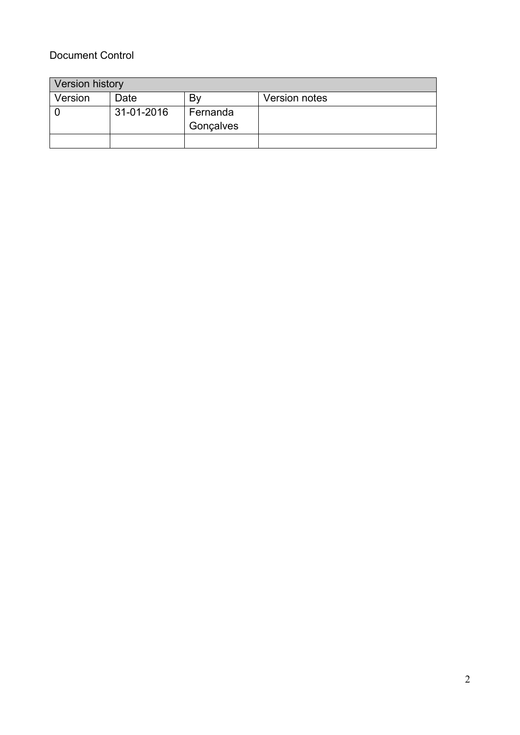#### Document Control

| <b>Version history</b> |            |           |                      |
|------------------------|------------|-----------|----------------------|
| Version                | Date       | B٧        | <b>Version notes</b> |
|                        | 31-01-2016 | Fernanda  |                      |
|                        |            | Gonçalves |                      |
|                        |            |           |                      |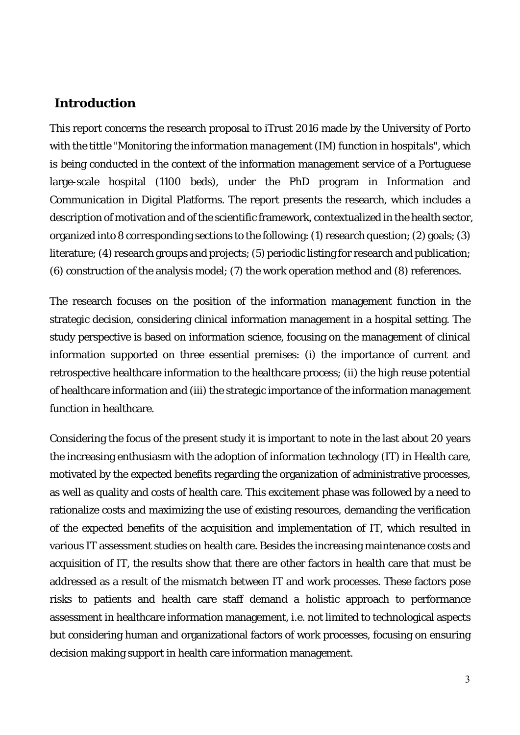#### **Introduction**

This report concerns the research proposal to iTrust 2016 made by the University of Porto with the tittle "*Monitoring the information management (IM) function in hospitals",* which is being conducted in the context of the information management service of a Portuguese large-scale hospital (1100 beds), under the PhD program in Information and Communication in Digital Platforms. The report presents the research, which includes a description of motivation and of the scientific framework, contextualized in the health sector, organized into 8 corresponding sections to the following: (1) research question; (2) goals; (3) literature; (4) research groups and projects; (5) periodic listing for research and publication; (6) construction of the analysis model; (7) the work operation method and (8) references.

The research focuses on the position of the information management function in the strategic decision, considering clinical information management in a hospital setting. The study perspective is based on information science, focusing on the management of clinical information supported on three essential premises: (i) the importance of current and retrospective healthcare information to the healthcare process; (ii) the high reuse potential of healthcare information and (iii) the strategic importance of the information management function in healthcare.

Considering the focus of the present study it is important to note in the last about 20 years the increasing enthusiasm with the adoption of information technology (IT) in Health care, motivated by the expected benefits regarding the organization of administrative processes, as well as quality and costs of health care. This excitement phase was followed by a need to rationalize costs and maximizing the use of existing resources, demanding the verification of the expected benefits of the acquisition and implementation of IT, which resulted in various IT assessment studies on health care. Besides the increasing maintenance costs and acquisition of IT, the results show that there are other factors in health care that must be addressed as a result of the mismatch between IT and work processes. These factors pose risks to patients and health care staff demand a holistic approach to performance assessment in healthcare information management, i.e. not limited to technological aspects but considering human and organizational factors of work processes, focusing on ensuring decision making support in health care information management.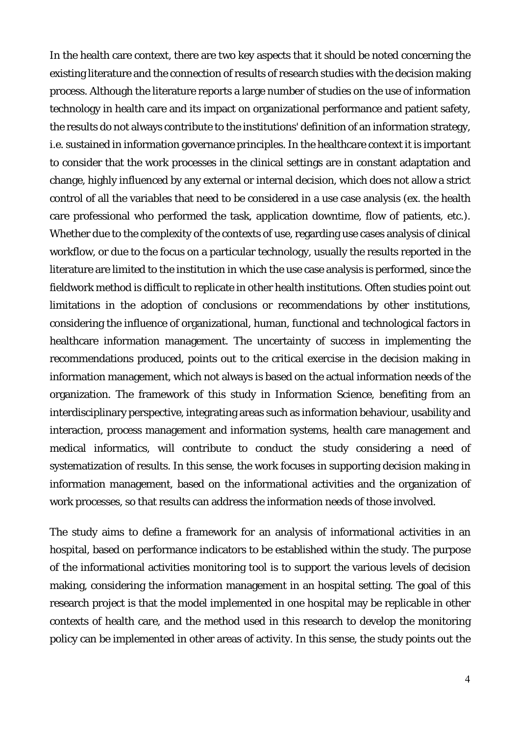In the health care context, there are two key aspects that it should be noted concerning the existing literature and the connection of results of research studies with the decision making process. Although the literature reports a large number of studies on the use of information technology in health care and its impact on organizational performance and patient safety, the results do not always contribute to the institutions' definition of an information strategy, i.e. sustained in information governance principles. In the healthcare context it is important to consider that the work processes in the clinical settings are in constant adaptation and change, highly influenced by any external or internal decision, which does not allow a strict control of all the variables that need to be considered in a use case analysis (ex. the health care professional who performed the task, application downtime, flow of patients, etc.). Whether due to the complexity of the contexts of use, regarding use cases analysis of clinical workflow, or due to the focus on a particular technology, usually the results reported in the literature are limited to the institution in which the use case analysis is performed, since the fieldwork method is difficult to replicate in other health institutions. Often studies point out limitations in the adoption of conclusions or recommendations by other institutions, considering the influence of organizational, human, functional and technological factors in healthcare information management. The uncertainty of success in implementing the recommendations produced, points out to the critical exercise in the decision making in information management, which not always is based on the actual information needs of the organization. The framework of this study in Information Science, benefiting from an interdisciplinary perspective, integrating areas such as information behaviour, usability and interaction, process management and information systems, health care management and medical informatics, will contribute to conduct the study considering a need of systematization of results. In this sense, the work focuses in supporting decision making in information management, based on the informational activities and the organization of work processes, so that results can address the information needs of those involved.

The study aims to define a framework for an analysis of informational activities in an hospital, based on performance indicators to be established within the study. The purpose of the informational activities monitoring tool is to support the various levels of decision making, considering the information management in an hospital setting. The goal of this research project is that the model implemented in one hospital may be replicable in other contexts of health care, and the method used in this research to develop the monitoring policy can be implemented in other areas of activity. In this sense, the study points out the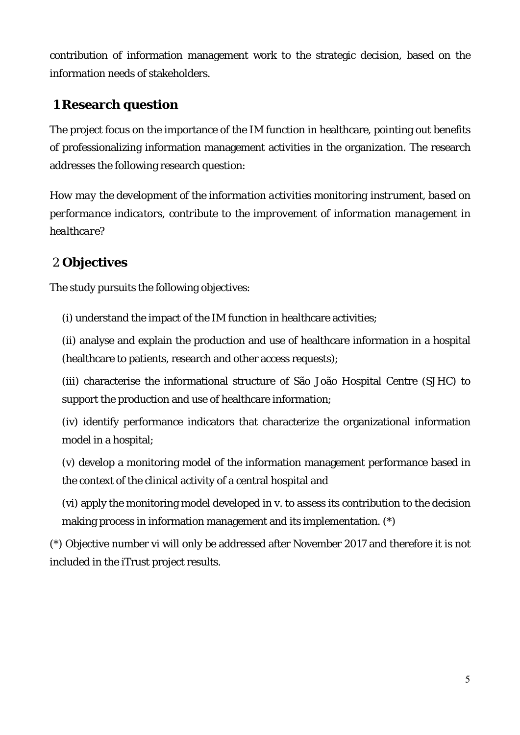contribution of information management work to the strategic decision, based on the information needs of stakeholders.

### **1 Research question**

The project focus on the importance of the IM function in healthcare, pointing out benefits of professionalizing information management activities in the organization. The research addresses the following research question:

*How may the development of the information activities monitoring instrument, based on performance indicators, contribute to the improvement of information management in healthcare?* 

## 2 **Objectives**

The study pursuits the following objectives:

(i) understand the impact of the IM function in healthcare activities;

(ii) analyse and explain the production and use of healthcare information in a hospital (healthcare to patients, research and other access requests);

(iii) characterise the informational structure of São João Hospital Centre (SJHC) to support the production and use of healthcare information;

(iv) identify performance indicators that characterize the organizational information model in a hospital;

(v) develop a monitoring model of the information management performance based in the context of the clinical activity of a central hospital and

(vi) apply the monitoring model developed in v. to assess its contribution to the decision making process in information management and its implementation. (\*)

(\*) Objective number vi will only be addressed after November 2017 and therefore it is not included in the iTrust project results.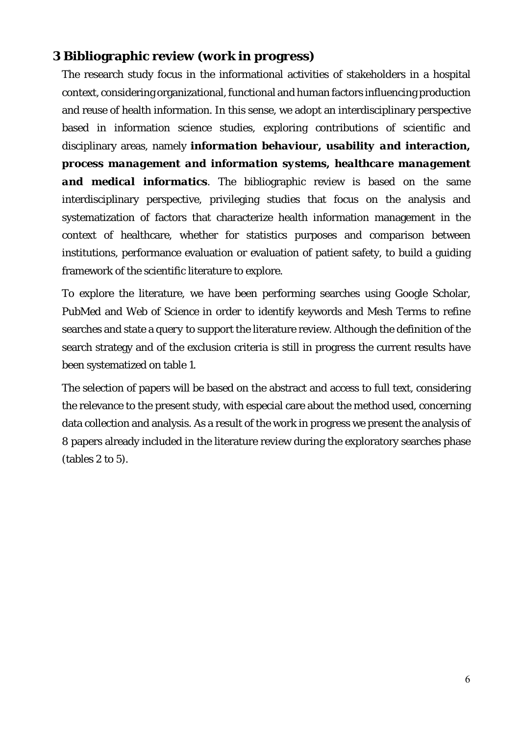#### **3 Bibliographic review (work in progress)**

The research study focus in the informational activities of stakeholders in a hospital context, considering organizational, functional and human factors influencing production and reuse of health information. In this sense, we adopt an interdisciplinary perspective based in information science studies, exploring contributions of scientific and disciplinary areas, namely *information behaviour, usability and interaction, process management and information systems, healthcare management and medical informatics*. The bibliographic review is based on the same interdisciplinary perspective, privileging studies that focus on the analysis and systematization of factors that characterize health information management in the context of healthcare, whether for statistics purposes and comparison between institutions, performance evaluation or evaluation of patient safety, to build a guiding framework of the scientific literature to explore.

To explore the literature, we have been performing searches using Google Scholar, *PubMed* and *Web of Science* in order to identify keywords and Mesh Terms to refine searches and state a *query* to support the literature review. Although the definition of the search strategy and of the exclusion criteria is still in progress the current results have been systematized on table 1.

The selection of papers will be based on the abstract and access to full text, considering the relevance to the present study, with especial care about the method used, concerning data collection and analysis. As a result of the work in progress we present the analysis of 8 papers already included in the literature review during the exploratory searches phase (tables 2 to 5).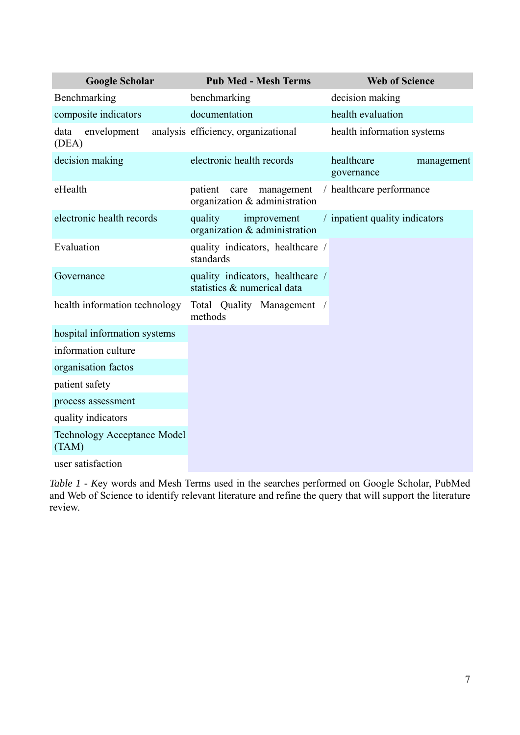|               | <b>Google Scholar</b>              | <b>Pub Med - Mesh Terms</b>                                     | <b>Web of Science</b>                  |
|---------------|------------------------------------|-----------------------------------------------------------------|----------------------------------------|
|               | Benchmarking                       | benchmarking                                                    | decision making                        |
|               | composite indicators               | documentation                                                   | health evaluation                      |
| data<br>(DEA) | envelopment                        | analysis efficiency, organizational                             | health information systems             |
|               | decision making                    | electronic health records                                       | healthcare<br>management<br>governance |
| eHealth       |                                    | patient<br>management<br>care<br>organization & administration  | / healthcare performance               |
|               | electronic health records          | quality<br>improvement<br>organization & administration         | / inpatient quality indicators         |
| Evaluation    |                                    | quality indicators, healthcare /<br>standards                   |                                        |
| Governance    |                                    | quality indicators, healthcare /<br>statistics & numerical data |                                        |
|               | health information technology      | Total Quality Management /<br>methods                           |                                        |
|               | hospital information systems       |                                                                 |                                        |
|               | information culture                |                                                                 |                                        |
|               | organisation factos                |                                                                 |                                        |
|               | patient safety                     |                                                                 |                                        |
|               | process assessment                 |                                                                 |                                        |
|               | quality indicators                 |                                                                 |                                        |
| (TAM)         | <b>Technology Acceptance Model</b> |                                                                 |                                        |
|               | user satisfaction                  |                                                                 |                                        |

*Table 1 - K*ey words and Mesh Terms used in the searches performed on Google Scholar, PubMed and Web of Science to identify relevant literature and refine the query that will support the literature review.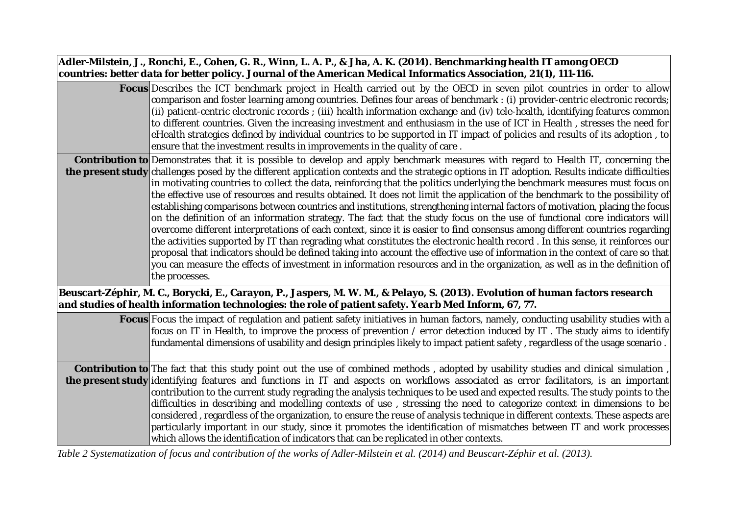| Adler-Milstein, J., Ronchi, E., Cohen, G. R., Winn, L. A. P., & Jha, A. K. (2014). Benchmarking health IT among OECD<br>countries: better data for better policy. Journal of the American Medical Informatics Association, 21(1), 111-116.                                                                                                                                                                                                                                                                                                                                                                                                                                                                                                                                                                                                                                                                                                                                                                                                                                                                                                                                                                                                                                                                                                                                          |
|-------------------------------------------------------------------------------------------------------------------------------------------------------------------------------------------------------------------------------------------------------------------------------------------------------------------------------------------------------------------------------------------------------------------------------------------------------------------------------------------------------------------------------------------------------------------------------------------------------------------------------------------------------------------------------------------------------------------------------------------------------------------------------------------------------------------------------------------------------------------------------------------------------------------------------------------------------------------------------------------------------------------------------------------------------------------------------------------------------------------------------------------------------------------------------------------------------------------------------------------------------------------------------------------------------------------------------------------------------------------------------------|
| <b>Focus</b> Describes the ICT benchmark project in Health carried out by the OECD in seven pilot countries in order to allow<br>comparison and foster learning among countries. Defines four areas of benchmark : (i) provider-centric electronic records;<br>(ii) patient-centric electronic records; (iii) health information exchange and (iv) tele-health, identifying features common<br>to different countries. Given the increasing investment and enthusiasm in the use of ICT in Health, stresses the need for<br>eHealth strategies defined by individual countries to be supported in IT impact of policies and results of its adoption, to<br>ensure that the investment results in improvements in the quality of care.                                                                                                                                                                                                                                                                                                                                                                                                                                                                                                                                                                                                                                               |
| <b>Contribution to</b> Demonstrates that it is possible to develop and apply benchmark measures with regard to Health IT, concerning the<br><b>the present study</b> challenges posed by the different application contexts and the strategic options in IT adoption. Results indicate difficulties<br>in motivating countries to collect the data, reinforcing that the politics underlying the benchmark measures must focus on<br>the effective use of resources and results obtained. It does not limit the application of the benchmark to the possibility of<br>establishing comparisons between countries and institutions, strengthening internal factors of motivation, placing the focus<br>on the definition of an information strategy. The fact that the study focus on the use of functional core indicators will<br>overcome different interpretations of each context, since it is easier to find consensus among different countries regarding<br>the activities supported by IT than regrading what constitutes the electronic health record. In this sense, it reinforces our<br>proposal that indicators should be defined taking into account the effective use of information in the context of care so that<br>you can measure the effects of investment in information resources and in the organization, as well as in the definition of<br>the processes. |
| Beuscart-Zéphir, M. C., Borycki, E., Carayon, P., Jaspers, M. W. M., & Pelayo, S. (2013). Evolution of human factors research<br>and studies of health information technologies: the role of patient safety. Yearb Med Inform, 67, 77.                                                                                                                                                                                                                                                                                                                                                                                                                                                                                                                                                                                                                                                                                                                                                                                                                                                                                                                                                                                                                                                                                                                                              |
| <b>Focus</b> Focus the impact of regulation and patient safety initiatives in human factors, namely, conducting usability studies with a<br>focus on IT in Health, to improve the process of prevention / error detection induced by IT. The study aims to identify<br>fundamental dimensions of usability and design principles likely to impact patient safety, regardless of the usage scenario.                                                                                                                                                                                                                                                                                                                                                                                                                                                                                                                                                                                                                                                                                                                                                                                                                                                                                                                                                                                 |
| Contribution to The fact that this study point out the use of combined methods, adopted by usability studies and clinical simulation,<br>the present study identifying features and functions in IT and aspects on workflows associated as error facilitators, is an important<br>contribution to the current study regrading the analysis techniques to be used and expected results. The study points to the<br>difficulties in describing and modelling contexts of use, stressing the need to categorize context in dimensions to be<br>considered, regardless of the organization, to ensure the reuse of analysis technique in different contexts. These aspects are<br>particularly important in our study, since it promotes the identification of mismatches between IT and work processes<br>which allows the identification of indicators that can be replicated in other contexts.<br>$c_1$ 1 $c_4$ 11 $\frac{1}{2}$ $c_2$ 1 $\frac{1}{2}$ $\frac{1}{2}$ $\frac{1}{2}$<br>.7711111700101                                                                                                                                                                                                                                                                                                                                                                                |

*Table 2 Systematization of focus and contribution of the works of Adler-Milstein et al. (2014) and Beuscart-Zéphir et al. (2013).*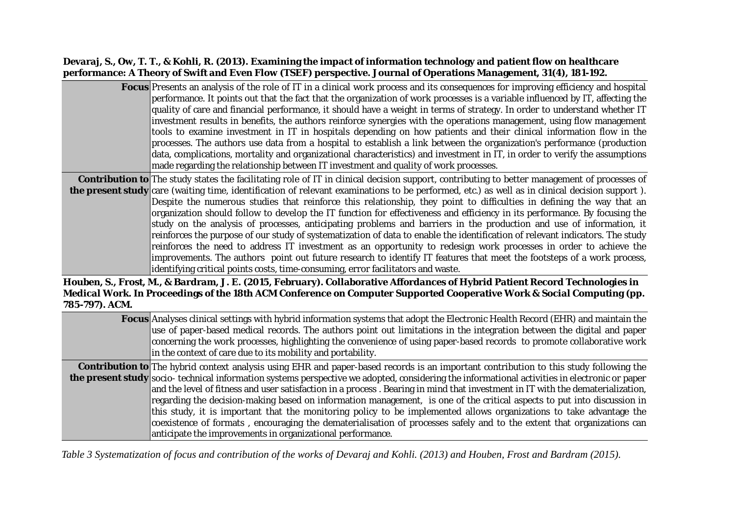#### **Devaraj, S., Ow, T. T., & Kohli, R. (2013). Examining the impact of information technology and patient flow on healthcare performance: A Theory of Swift and Even Flow (TSEF) perspective. Journal of Operations Management, 31(4), 181-192.**

| <b>Focus</b> Presents an analysis of the role of IT in a clinical work process and its consequences for improving efficiency and hospital           |
|-----------------------------------------------------------------------------------------------------------------------------------------------------|
| $ $ performance. It points out that the fact that the organization of work processes is a variable influenced by IT, affecting the $ $              |
| quality of care and financial performance, it should have a weight in terms of strategy. In order to understand whether IT                          |
| investment results in benefits, the authors reinforce synergies with the operations management, using flow management                               |
| tools to examine investment in IT in hospitals depending on how patients and their clinical information flow in the                                 |
| processes. The authors use data from a hospital to establish a link between the organization's performance (production                              |
| $ $ data, complications, mortality and organizational characteristics) and investment in IT, in order to verify the assumptions $ $                 |
| made regarding the relationship between IT investment and quality of work processes.                                                                |
| <b>Contribution to</b> The study states the facilitating role of IT in clinical decision support, contributing to better management of processes of |
| <b>e present study</b> care (waiting time, identification of relevant examinations to be performed, etc.) as well as in clinical decision support). |

**the** care (waiting time, identification of relevant examinations to be performed, etc.) as well as in clinical decision support ). Despite the numerous studies that reinforce this relationship, they point to difficulties in defining the way that an organization should follow to develop the IT function for effectiveness and efficiency in its performance. By focusing the study on the analysis of processes, anticipating problems and barriers in the production and use of information, it reinforces the purpose of our study of systematization of data to enable the identification of relevant indicators. The study reinforces the need to address IT investment as an opportunity to redesign work processes in order to achieve the improvements. The authors point out future research to identify IT features that meet the footsteps of a work process, identifying critical points costs, time-consuming, error facilitators and waste.

**Houben, S., Frost, M., & Bardram, J. E. (2015, February). Collaborative Affordances of Hybrid Patient Record Technologies in Medical Work. In Proceedings of the 18th ACM Conference on Computer Supported Cooperative Work & Social Computing (pp. 785-797). ACM.**

| <b>Focus</b> Analyses clinical settings with hybrid information systems that adopt the Electronic Health Record (EHR) and maintain the<br>use of paper-based medical records. The authors point out limitations in the integration between the digital and paper<br>concerning the work processes, highlighting the convenience of using paper-based records to promote collaborative work<br>in the context of care due to its mobility and portability. |
|-----------------------------------------------------------------------------------------------------------------------------------------------------------------------------------------------------------------------------------------------------------------------------------------------------------------------------------------------------------------------------------------------------------------------------------------------------------|
| <b>Contribution to</b> The hybrid context analysis using EHR and paper-based records is an important contribution to this study following the                                                                                                                                                                                                                                                                                                             |
| the present study socio- technical information systems perspective we adopted, considering the informational activities in electronic or paper                                                                                                                                                                                                                                                                                                            |
| and the level of fitness and user satisfaction in a process. Bearing in mind that investment in IT with the dematerialization,                                                                                                                                                                                                                                                                                                                            |
| regarding the decision-making based on information management, is one of the critical aspects to put into discussion in                                                                                                                                                                                                                                                                                                                                   |
| this study, it is important that the monitoring policy to be implemented allows organizations to take advantage the                                                                                                                                                                                                                                                                                                                                       |
| coexistence of formats, encouraging the dematerialisation of processes safely and to the extent that organizations can                                                                                                                                                                                                                                                                                                                                    |
| anticipate the improvements in organizational performance.                                                                                                                                                                                                                                                                                                                                                                                                |

*Table 3 Systematization of focus and contribution of the works of Devaraj and Kohli. (2013) and Houben, Frost and Bardram (2015).*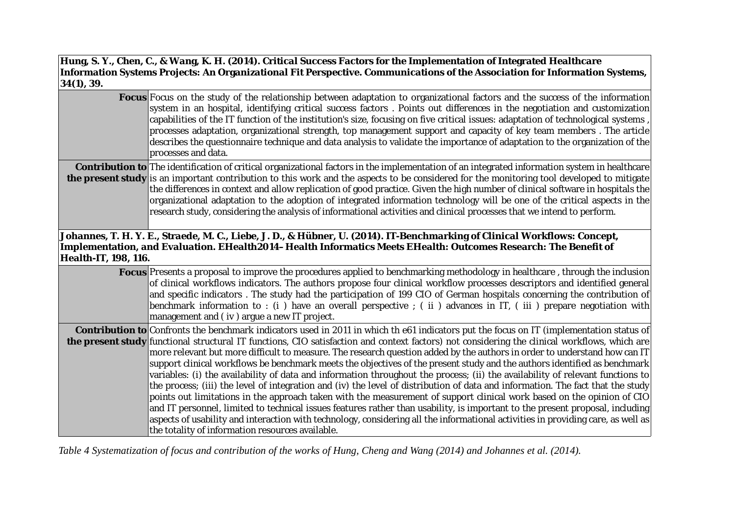| 34(1), 39.                  | Hung, S. Y., Chen, C., & Wang, K. H. (2014). Critical Success Factors for the Implementation of Integrated Healthcare<br>Information Systems Projects: An Organizational Fit Perspective. Communications of the Association for Information Systems,                                                                                                                                                                                                                                                                                                                                                                                                                                                                                                                                                                                                                                                                                                                                                                                                                                                                                                                                                                                                                               |
|-----------------------------|------------------------------------------------------------------------------------------------------------------------------------------------------------------------------------------------------------------------------------------------------------------------------------------------------------------------------------------------------------------------------------------------------------------------------------------------------------------------------------------------------------------------------------------------------------------------------------------------------------------------------------------------------------------------------------------------------------------------------------------------------------------------------------------------------------------------------------------------------------------------------------------------------------------------------------------------------------------------------------------------------------------------------------------------------------------------------------------------------------------------------------------------------------------------------------------------------------------------------------------------------------------------------------|
|                             | <b>Focus</b> Focus on the study of the relationship between adaptation to organizational factors and the success of the information<br>system in an hospital, identifying critical success factors. Points out differences in the negotiation and customization<br>capabilities of the IT function of the institution's size, focusing on five critical issues: adaptation of technological systems,<br>processes adaptation, organizational strength, top management support and capacity of key team members . The article<br>describes the questionnaire technique and data analysis to validate the importance of adaptation to the organization of the<br>processes and data.                                                                                                                                                                                                                                                                                                                                                                                                                                                                                                                                                                                                 |
|                             | <b>Contribution to</b> The identification of critical organizational factors in the implementation of an integrated information system in healthcare<br>the present study is an important contribution to this work and the aspects to be considered for the monitoring tool developed to mitigate<br>the differences in context and allow replication of good practice. Given the high number of clinical software in hospitals the<br>organizational adaptation to the adoption of integrated information technology will be one of the critical aspects in the<br>research study, considering the analysis of informational activities and clinical processes that we intend to perform.                                                                                                                                                                                                                                                                                                                                                                                                                                                                                                                                                                                        |
| <b>Health-IT, 198, 116.</b> | Johannes, T. H. Y. E., Straede, M. C., Liebe, J. D., & Hübner, U. (2014). IT-Benchmarking of Clinical Workflows: Concept,<br>Implementation, and Evaluation. EHealth2014–Health Informatics Meets EHealth: Outcomes Research: The Benefit of                                                                                                                                                                                                                                                                                                                                                                                                                                                                                                                                                                                                                                                                                                                                                                                                                                                                                                                                                                                                                                       |
|                             | <b>Focus</b> Presents a proposal to improve the procedures applied to benchmarking methodology in healthcare, through the inclusion<br>of clinical workflows indicators. The authors propose four clinical workflow processes descriptors and identified general<br>and specific indicators. The study had the participation of 199 CIO of German hospitals concerning the contribution of<br>benchmark information to : (i) have an overall perspective ; (ii) advances in IT, (iii) prepare negotiation with<br>management and (iv) argue a new IT project.                                                                                                                                                                                                                                                                                                                                                                                                                                                                                                                                                                                                                                                                                                                      |
|                             | <b>Contribution to</b> Confronts the benchmark indicators used in 2011 in which the 61 indicators put the focus on IT (implementation status of<br>the present study functional structural IT functions, CIO satisfaction and context factors) not considering the clinical workflows, which are<br>more relevant but more difficult to measure. The research question added by the authors in order to understand how can IT<br>support clinical workflows be benchmark meets the objectives of the present study and the authors identified as benchmark<br>variables: (i) the availability of data and information throughout the process; (ii) the availability of relevant functions to<br>the process; (iii) the level of integration and (iv) the level of distribution of data and information. The fact that the study<br>points out limitations in the approach taken with the measurement of support clinical work based on the opinion of CIO<br>and IT personnel, limited to technical issues features rather than usability, is important to the present proposal, including<br>aspects of usability and interaction with technology, considering all the informational activities in providing care, as well as<br>the totality of information resources available. |

*Table 4 Systematization of focus and contribution of the works of Hung, Cheng and Wang (2014) and Johannes et al. (2014).*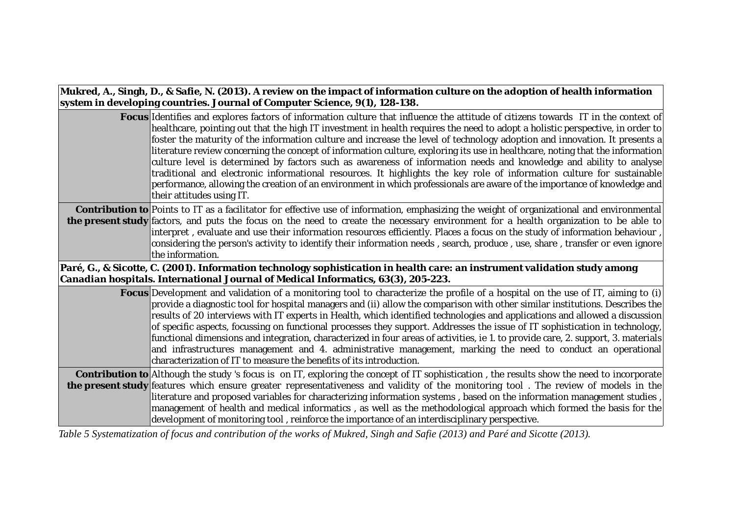**Mukred, A., Singh, D., & Safie, N. (2013). A review on the impact of information culture on the adoption of health information system in developing countries. Journal of Computer Science, 9(1), 128-138.**

| <b>Focus</b> Identifies and explores factors of information culture that influence the attitude of citizens towards IT in the context of<br>healthcare, pointing out that the high IT investment in health requires the need to adopt a holistic perspective, in order to<br>foster the maturity of the information culture and increase the level of technology adoption and innovation. It presents a<br>literature review concerning the concept of information culture, exploring its use in healthcare, noting that the information<br>culture level is determined by factors such as awareness of information needs and knowledge and ability to analyse<br>traditional and electronic informational resources. It highlights the key role of information culture for sustainable<br>performance, allowing the creation of an environment in which professionals are aware of the importance of knowledge and<br>their attitudes using IT. |
|--------------------------------------------------------------------------------------------------------------------------------------------------------------------------------------------------------------------------------------------------------------------------------------------------------------------------------------------------------------------------------------------------------------------------------------------------------------------------------------------------------------------------------------------------------------------------------------------------------------------------------------------------------------------------------------------------------------------------------------------------------------------------------------------------------------------------------------------------------------------------------------------------------------------------------------------------|
| <b>Contribution to</b> Points to IT as a facilitator for effective use of information, emphasizing the weight of organizational and environmental<br>the present study factors, and puts the focus on the need to create the necessary environment for a health organization to be able to                                                                                                                                                                                                                                                                                                                                                                                                                                                                                                                                                                                                                                                       |
| interpret, evaluate and use their information resources efficiently. Places a focus on the study of information behaviour,<br>considering the person's activity to identify their information needs, search, produce, use, share, transfer or even ignore<br>the information.                                                                                                                                                                                                                                                                                                                                                                                                                                                                                                                                                                                                                                                                    |
| Paré, G., & Sicotte, C. (2001). Information technology sophistication in health care: an instrument validation study among<br>Canadian hospitals. International Journal of Medical Informatics, 63(3), 205-223.                                                                                                                                                                                                                                                                                                                                                                                                                                                                                                                                                                                                                                                                                                                                  |
|                                                                                                                                                                                                                                                                                                                                                                                                                                                                                                                                                                                                                                                                                                                                                                                                                                                                                                                                                  |
| <b>Focus</b> Development and validation of a monitoring tool to characterize the profile of a hospital on the use of IT, aiming to (i)<br>provide a diagnostic tool for hospital managers and (ii) allow the comparison with other similar institutions. Describes the<br>results of 20 interviews with IT experts in Health, which identified technologies and applications and allowed a discussion<br>of specific aspects, focussing on functional processes they support. Addresses the issue of IT sophistication in technology,<br>functional dimensions and integration, characterized in four areas of activities, ie 1. to provide care, 2. support, 3. materials<br>and infrastructures management and 4. administrative management, marking the need to conduct an operational<br>characterization of IT to measure the benefits of its introduction.                                                                                 |

development of monitoring tool , reinforce the importance of an interdisciplinary perspective.

*Table 5 Systematization of focus and contribution of the works of Mukred, Singh and Safie (2013) and Paré and Sicotte (2013).*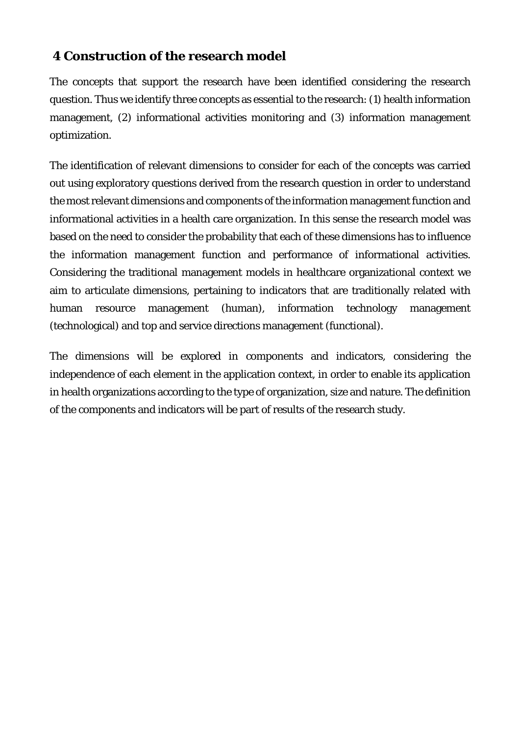#### **4 Construction of the research model**

The concepts that support the research have been identified considering the research question. Thus we identify three concepts as essential to the research: (1) health information management, (2) informational activities monitoring and (3) information management optimization.

The identification of relevant dimensions to consider for each of the concepts was carried out using exploratory questions derived from the research question in order to understand the most relevant dimensions and components of the information management function and informational activities in a health care organization. In this sense the research model was based on the need to consider the probability that each of these dimensions has to influence the information management function and performance of informational activities. Considering the traditional management models in healthcare organizational context we aim to articulate dimensions, pertaining to indicators that are traditionally related with human resource management (human), information technology management (technological) and top and service directions management (functional).

The dimensions will be explored in components and indicators, considering the independence of each element in the application context, in order to enable its application in health organizations according to the type of organization, size and nature. The definition of the components and indicators will be part of results of the research study.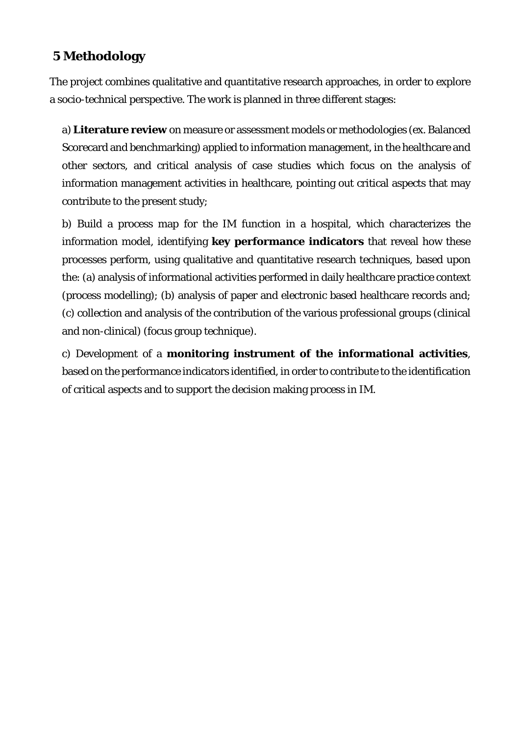## **5 Methodology**

The project combines qualitative and quantitative research approaches, in order to explore a socio-technical perspective. The work is planned in three different stages:

a) **Literature review** on measure or assessment models or methodologies (ex. Balanced Scorecard and benchmarking) applied to information management, in the healthcare and other sectors, and critical analysis of case studies which focus on the analysis of information management activities in healthcare, pointing out critical aspects that may contribute to the present study;

b) Build a process map for the IM function in a hospital, which characterizes the information model, identifying **key performance indicators** that reveal how these processes perform, using qualitative and quantitative research techniques, based upon the: (a) analysis of informational activities performed in daily healthcare practice context (process modelling); (b) analysis of paper and electronic based healthcare records and; (c) collection and analysis of the contribution of the various professional groups (clinical and non-clinical) (focus group technique).

c) Development of a **monitoring instrument of the informational activities**, based on the performance indicators identified, in order to contribute to the identification of critical aspects and to support the decision making process in IM.